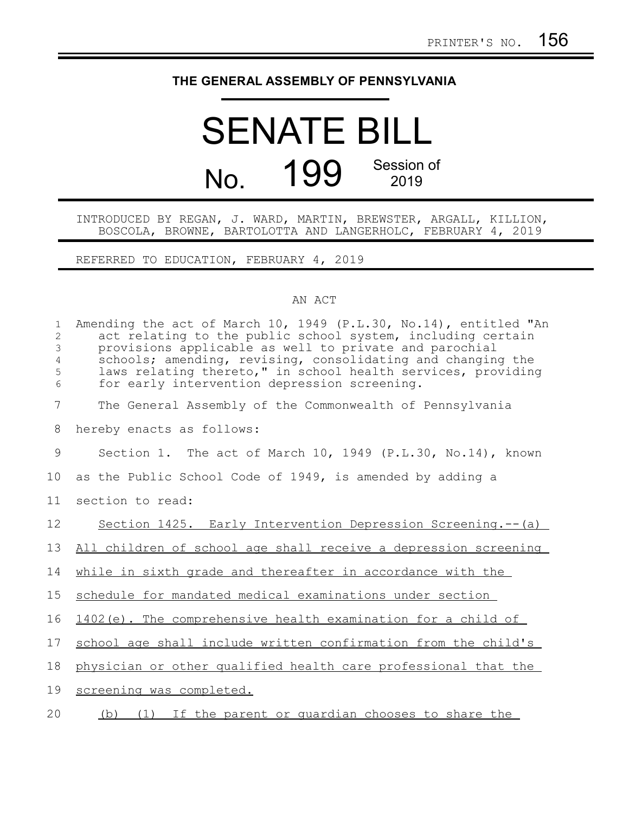## **THE GENERAL ASSEMBLY OF PENNSYLVANIA**

## SENATE BILL No. 199 Session of 2019

## INTRODUCED BY REGAN, J. WARD, MARTIN, BREWSTER, ARGALL, KILLION, BOSCOLA, BROWNE, BARTOLOTTA AND LANGERHOLC, FEBRUARY 4, 2019

REFERRED TO EDUCATION, FEBRUARY 4, 2019

## AN ACT

| $\mathbf{1}$<br>$\mathbf{2}$<br>3<br>$\overline{4}$<br>5<br>6 | Amending the act of March 10, 1949 (P.L.30, No.14), entitled "An<br>act relating to the public school system, including certain<br>provisions applicable as well to private and parochial<br>schools; amending, revising, consolidating and changing the<br>laws relating thereto," in school health services, providing<br>for early intervention depression screening. |
|---------------------------------------------------------------|--------------------------------------------------------------------------------------------------------------------------------------------------------------------------------------------------------------------------------------------------------------------------------------------------------------------------------------------------------------------------|
| 7                                                             | The General Assembly of the Commonwealth of Pennsylvania                                                                                                                                                                                                                                                                                                                 |
| 8                                                             | hereby enacts as follows:                                                                                                                                                                                                                                                                                                                                                |
| 9                                                             | Section 1. The act of March 10, 1949 (P.L.30, No.14), known                                                                                                                                                                                                                                                                                                              |
| 10                                                            | as the Public School Code of 1949, is amended by adding a                                                                                                                                                                                                                                                                                                                |
| 11                                                            | section to read:                                                                                                                                                                                                                                                                                                                                                         |
| 12                                                            | Section 1425. Early Intervention Depression Screening.--(a)                                                                                                                                                                                                                                                                                                              |
| 13                                                            | All children of school age shall receive a depression screening                                                                                                                                                                                                                                                                                                          |
| 14                                                            | while in sixth grade and thereafter in accordance with the                                                                                                                                                                                                                                                                                                               |
| 15                                                            | schedule for mandated medical examinations under section                                                                                                                                                                                                                                                                                                                 |
| 16                                                            | 1402(e). The comprehensive health examination for a child of                                                                                                                                                                                                                                                                                                             |
| 17                                                            | school age shall include written confirmation from the child's                                                                                                                                                                                                                                                                                                           |
| 18                                                            | physician or other qualified health care professional that the                                                                                                                                                                                                                                                                                                           |
| 19                                                            | screening was completed.                                                                                                                                                                                                                                                                                                                                                 |
| 20                                                            | (b) (1) If the parent or quardian chooses to share the                                                                                                                                                                                                                                                                                                                   |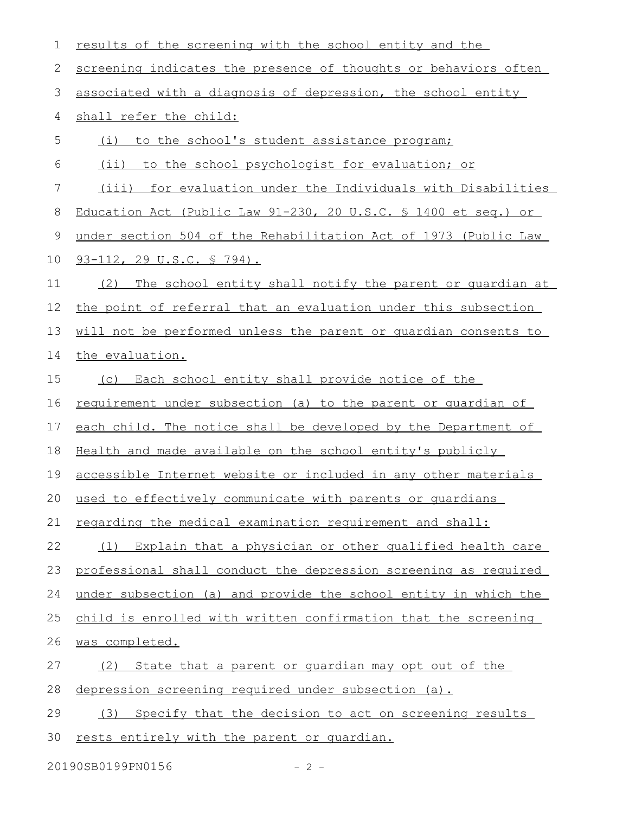| results of the screening with the school entity and the              |
|----------------------------------------------------------------------|
| screening indicates the presence of thoughts or behaviors often      |
| associated with a diagnosis of depression, the school entity         |
| shall refer the child:                                               |
| to the school's student assistance program;<br>(i)                   |
| (ii) to the school psychologist for evaluation; or                   |
| (iii) for evaluation under the Individuals with Disabilities         |
| Education Act (Public Law 91-230, 20 U.S.C. § 1400 et seq.) or       |
| under section 504 of the Rehabilitation Act of 1973 (Public Law      |
| <u>93-112, 29 U.S.C. § 794).</u>                                     |
| (2) The school entity shall notify the parent or quardian at         |
| the point of referral that an evaluation under this subsection       |
| will not be performed unless the parent or quardian consents to      |
| the evaluation.                                                      |
| (c) Each school entity shall provide notice of the                   |
| <u>requirement under subsection (a) to the parent or quardian of</u> |
| each child. The notice shall be developed by the Department of       |
| Health and made available on the school entity's publicly            |
| accessible Internet website or included in any other materials       |
| used to effectively communicate with parents or quardians            |
| regarding the medical examination requirement and shall:             |
| (1) Explain that a physician or other qualified health care          |
| professional shall conduct the depression screening as required      |
| under subsection (a) and provide the school entity in which the      |
| child is enrolled with written confirmation that the screening       |
| was completed.                                                       |
| State that a parent or quardian may opt out of the<br>(2)            |
| depression screening required under subsection (a).                  |
| Specify that the decision to act on screening results<br>(3)         |
| rests entirely with the parent or quardian.                          |
|                                                                      |

20190SB0199PN0156 - 2 -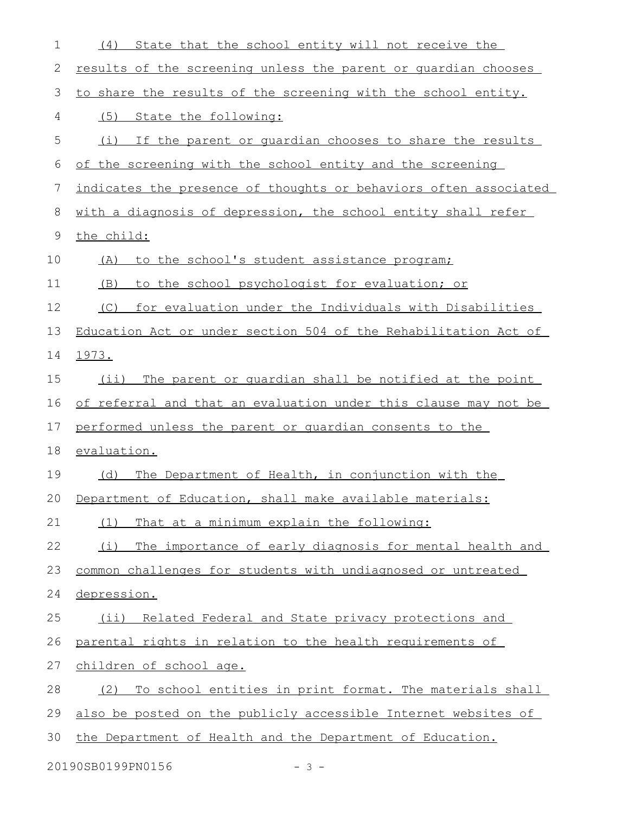| 1  | State that the school entity will not receive the<br>(4)         |
|----|------------------------------------------------------------------|
| 2  | results of the screening unless the parent or quardian chooses   |
| 3  | to share the results of the screening with the school entity.    |
| 4  | (5)<br>State the following:                                      |
| 5  | If the parent or quardian chooses to share the results<br>(i)    |
| 6  | of the screening with the school entity and the screening        |
| 7  | indicates the presence of thoughts or behaviors often associated |
| 8  | with a diagnosis of depression, the school entity shall refer    |
| 9  | the child:                                                       |
| 10 | to the school's student assistance program;<br>(A)               |
| 11 | to the school psychologist for evaluation; or<br>(B)             |
| 12 | for evaluation under the Individuals with Disabilities<br>(C)    |
| 13 | Education Act or under section 504 of the Rehabilitation Act of  |
| 14 | 1973.                                                            |
| 15 | The parent or quardian shall be notified at the point<br>$(i$ i) |
| 16 | of referral and that an evaluation under this clause may not be  |
| 17 | performed unless the parent or quardian consents to the          |
| 18 | evaluation.                                                      |
| 19 | The Department of Health, in conjunction with the<br>(d)         |
| 20 | Department of Education, shall make available materials:         |
| 21 | That at a minimum explain the following:<br>(1)                  |
| 22 | The importance of early diagnosis for mental health and<br>(i)   |
| 23 | common challenges for students with undiagnosed or untreated     |
| 24 | depression.                                                      |
| 25 | Related Federal and State privacy protections and<br>$(i$ ii)    |
| 26 | parental rights in relation to the health requirements of        |
| 27 | children of school age.                                          |
| 28 | To school entities in print format. The materials shall<br>(2)   |
| 29 | also be posted on the publicly accessible Internet websites of   |
| 30 | the Department of Health and the Department of Education.        |
|    |                                                                  |

20190SB0199PN0156 - 3 -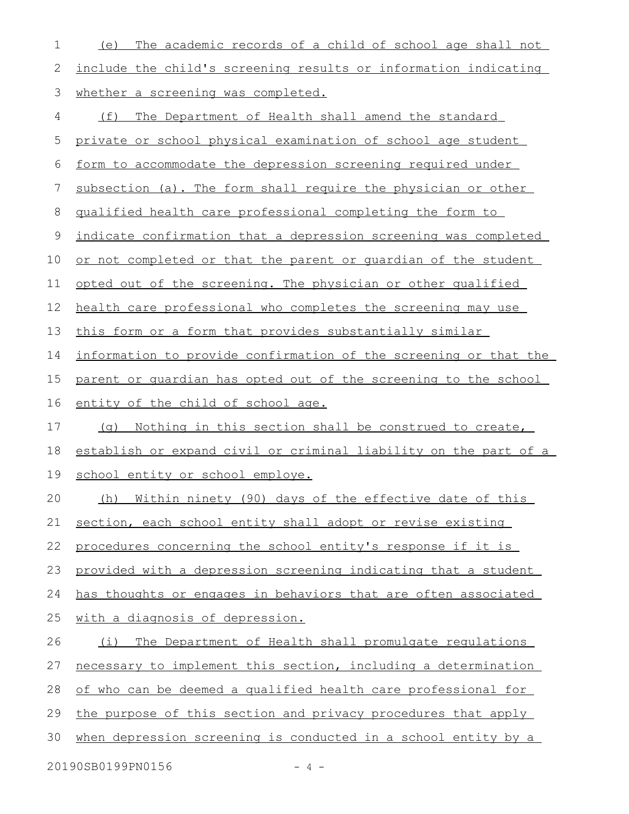| 1  | The academic records of a child of school age shall not<br>(e)   |  |  |
|----|------------------------------------------------------------------|--|--|
| 2  | include the child's screening results or information indicating  |  |  |
| 3  | whether a screening was completed.                               |  |  |
| 4  | The Department of Health shall amend the standard<br>(f)         |  |  |
| 5  | private or school physical examination of school age student     |  |  |
| 6  | form to accommodate the depression screening required under      |  |  |
| 7  | subsection (a). The form shall require the physician or other    |  |  |
| 8  | qualified health care professional completing the form to        |  |  |
| 9  | indicate confirmation that a depression screening was completed  |  |  |
| 10 | or not completed or that the parent or quardian of the student   |  |  |
| 11 | opted out of the screening. The physician or other qualified     |  |  |
| 12 | health care professional who completes the screening may use     |  |  |
| 13 | this form or a form that provides substantially similar          |  |  |
| 14 | information to provide confirmation of the screening or that the |  |  |
| 15 | parent or quardian has opted out of the screening to the school  |  |  |
| 16 | entity of the child of school age.                               |  |  |
| 17 | (q) Nothing in this section shall be construed to create,        |  |  |
| 18 | establish or expand civil or criminal liability on the part of a |  |  |
| 19 | school entity or school employe.                                 |  |  |
| 20 | (h) Within ninety (90) days of the effective date of this        |  |  |
| 21 | section, each school entity shall adopt or revise existing       |  |  |
| 22 | procedures concerning the school entity's response if it is      |  |  |
| 23 | provided with a depression screening indicating that a student   |  |  |
| 24 | has thoughts or engages in behaviors that are often associated   |  |  |
| 25 | with a diagnosis of depression.                                  |  |  |
| 26 | The Department of Health shall promulgate regulations<br>(i)     |  |  |
| 27 | necessary to implement this section, including a determination   |  |  |
| 28 | of who can be deemed a qualified health care professional for    |  |  |
| 29 | the purpose of this section and privacy procedures that apply    |  |  |
| 30 | when depression screening is conducted in a school entity by a   |  |  |
|    | 20190SB0199PN0156<br>$-4-$                                       |  |  |